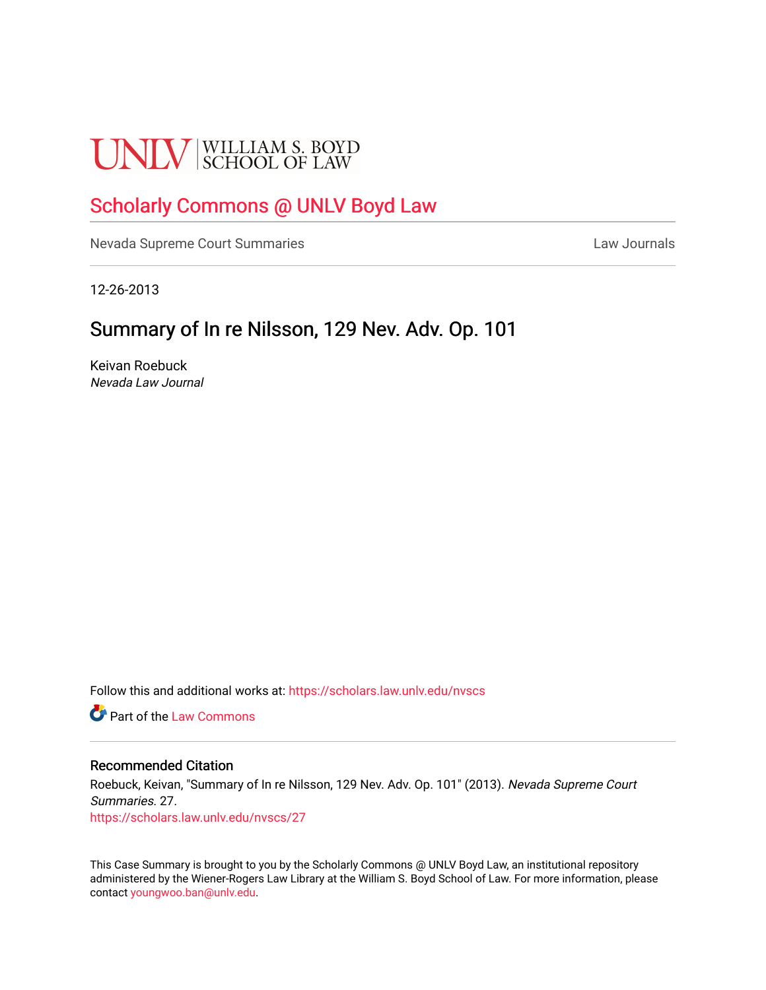# **UNLV** SCHOOL OF LAW

## [Scholarly Commons @ UNLV Boyd Law](https://scholars.law.unlv.edu/)

[Nevada Supreme Court Summaries](https://scholars.law.unlv.edu/nvscs) **Law Journals** Law Journals

12-26-2013

# Summary of In re Nilsson, 129 Nev. Adv. Op. 101

Keivan Roebuck Nevada Law Journal

Follow this and additional works at: [https://scholars.law.unlv.edu/nvscs](https://scholars.law.unlv.edu/nvscs?utm_source=scholars.law.unlv.edu%2Fnvscs%2F27&utm_medium=PDF&utm_campaign=PDFCoverPages)

**C** Part of the [Law Commons](http://network.bepress.com/hgg/discipline/578?utm_source=scholars.law.unlv.edu%2Fnvscs%2F27&utm_medium=PDF&utm_campaign=PDFCoverPages)

#### Recommended Citation

Roebuck, Keivan, "Summary of In re Nilsson, 129 Nev. Adv. Op. 101" (2013). Nevada Supreme Court Summaries. 27. [https://scholars.law.unlv.edu/nvscs/27](https://scholars.law.unlv.edu/nvscs/27?utm_source=scholars.law.unlv.edu%2Fnvscs%2F27&utm_medium=PDF&utm_campaign=PDFCoverPages) 

This Case Summary is brought to you by the Scholarly Commons @ UNLV Boyd Law, an institutional repository administered by the Wiener-Rogers Law Library at the William S. Boyd School of Law. For more information, please contact [youngwoo.ban@unlv.edu](mailto:youngwoo.ban@unlv.edu).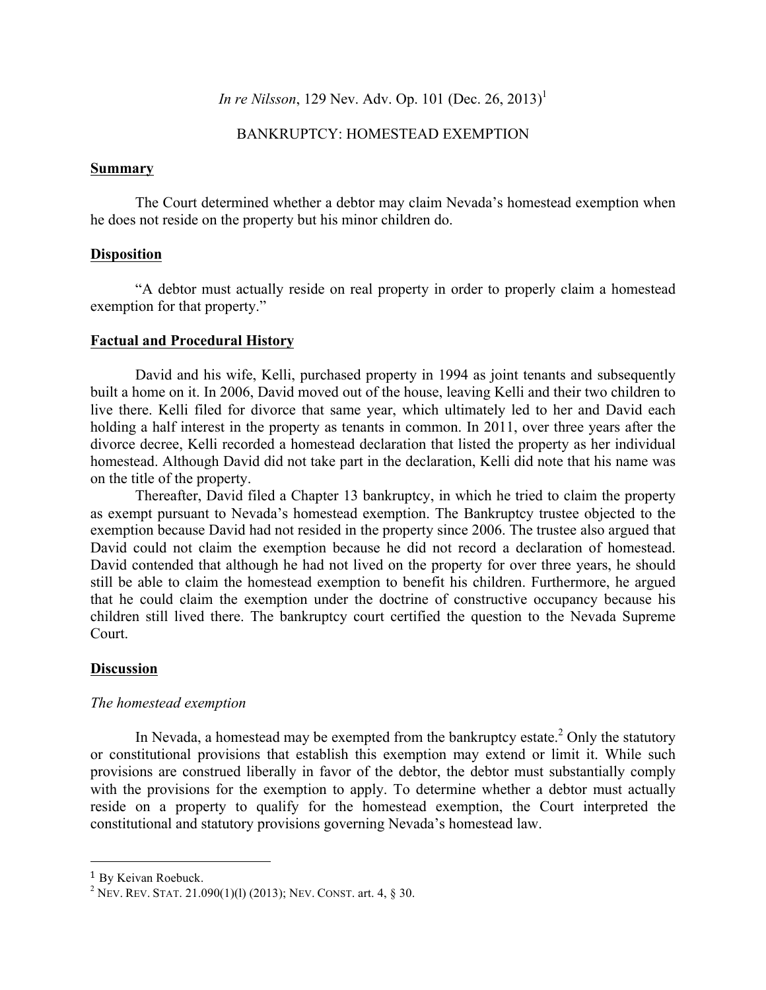## *In re Nilsson*, 129 Nev. Adv. Op. 101 (Dec. 26, 2013)<sup>1</sup>

### BANKRUPTCY: HOMESTEAD EXEMPTION

#### **Summary**

The Court determined whether a debtor may claim Nevada's homestead exemption when he does not reside on the property but his minor children do.

#### **Disposition**

"A debtor must actually reside on real property in order to properly claim a homestead exemption for that property."

#### **Factual and Procedural History**

David and his wife, Kelli, purchased property in 1994 as joint tenants and subsequently built a home on it. In 2006, David moved out of the house, leaving Kelli and their two children to live there. Kelli filed for divorce that same year, which ultimately led to her and David each holding a half interest in the property as tenants in common. In 2011, over three years after the divorce decree, Kelli recorded a homestead declaration that listed the property as her individual homestead. Although David did not take part in the declaration, Kelli did note that his name was on the title of the property.

Thereafter, David filed a Chapter 13 bankruptcy, in which he tried to claim the property as exempt pursuant to Nevada's homestead exemption. The Bankruptcy trustee objected to the exemption because David had not resided in the property since 2006. The trustee also argued that David could not claim the exemption because he did not record a declaration of homestead. David contended that although he had not lived on the property for over three years, he should still be able to claim the homestead exemption to benefit his children. Furthermore, he argued that he could claim the exemption under the doctrine of constructive occupancy because his children still lived there. The bankruptcy court certified the question to the Nevada Supreme Court.

#### **Discussion**

#### *The homestead exemption*

In Nevada, a homestead may be exempted from the bankruptcy estate.<sup>2</sup> Only the statutory or constitutional provisions that establish this exemption may extend or limit it. While such provisions are construed liberally in favor of the debtor, the debtor must substantially comply with the provisions for the exemption to apply. To determine whether a debtor must actually reside on a property to qualify for the homestead exemption, the Court interpreted the constitutional and statutory provisions governing Nevada's homestead law.

 

<sup>1</sup> By Keivan Roebuck.

<sup>&</sup>lt;sup>2</sup> NEV. REV. STAT. 21.090(1)(1) (2013); NEV. CONST. art. 4,  $\S$  30.